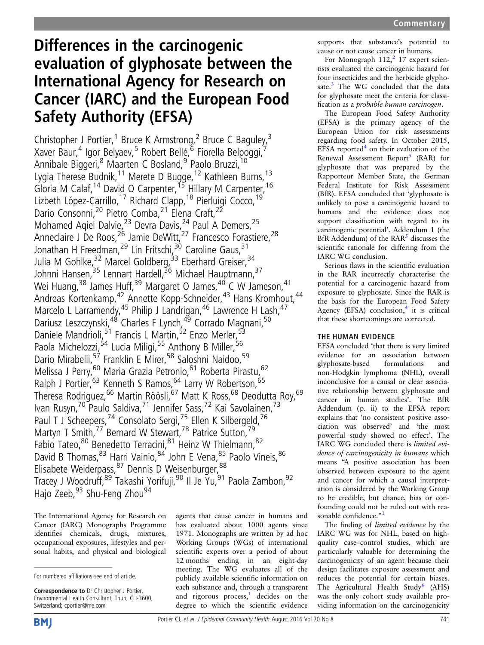# Differences in the carcinogenic evaluation of glyphosate between the International Agency for Research on Cancer (IARC) and the European Food Safety Authority (EFSA)

Christopher J Portier,<sup>1</sup> Bruce K Armstrong,<sup>2</sup> Bruce C Baguley,<sup>3</sup> Xaver Baur,<sup>4</sup> Igor Belyaev,<sup>5</sup> Robert Bellé, <sup>6</sup> Fiorella Belpoggi, 7 Annibale Biggeri, <sup>8</sup> Maarten C Bosland, <sup>9</sup> Paolo Bruzzi, <sup>10</sup> Lygia Therese Budnik,<sup>11</sup> Merete D Bugge,<sup>12</sup> Kathleen Burns,<sup>13</sup> Gloria M Calaf, <sup>14</sup> David O Carpenter, <sup>15</sup> Hillary M Carpenter, <sup>16</sup> Lizbeth López-Carrillo, <sup>17</sup> Richard Clapp, <sup>18</sup> Pierluigi Cocco, <sup>19</sup> Dario Consonni,<sup>20</sup> Pietro Comba,<sup>21</sup> Elena Craft,<sup>22</sup> Mohamed Aqiel Dalvie,<sup>23</sup> Devra Davis,<sup>24</sup> Paul A Demers,<sup>25</sup> Anneclaire J De Roos, <sup>26</sup> Jamie DeWitt, <sup>27</sup> Francesco Forastiere, <sup>28</sup> Jonathan H Freedman,<sup>29</sup> Lin Fritschi,<sup>30</sup> Caroline Gaus,<sup>31</sup> Julia M Gohlke,<sup>32</sup> Marcel Goldberg,<sup>33</sup> Eberhard Greiser,<sup>34</sup> Johnni Hansen,<sup>35</sup> Lennart Hardell,<sup>36</sup> Michael Hauptmann,<sup>37</sup> Wei Huang,<sup>38</sup> James Huff,<sup>39</sup> Margaret O James,<sup>40</sup> C W Jameson,<sup>41</sup> Andreas Kortenkamp, <sup>42</sup> Annette Kopp-Schneider, <sup>43</sup> Hans Kromhout, <sup>44</sup> Marcelo L Larramendy, <sup>45</sup> Philip J Landrigan, <sup>46</sup> Lawrence H Lash, <sup>47</sup> Dariusz Leszczynski,<sup>48</sup> Charles F Lynch,<sup>49</sup> Corrado Magnani,<sup>50</sup> Daniele Mandrioli, <sup>51</sup> Francis L Martin, <sup>52</sup> Enzo Merler, <sup>53</sup> Paola Michelozzi,<sup>54</sup> Lucia Miligi,<sup>55</sup> Anthony B Miller,<sup>56</sup> Dario Mirabelli, <sup>57</sup> Franklin E Mirer, <sup>58</sup> Saloshni Naidoo, <sup>59</sup> Melissa J Perry, <sup>60</sup> Maria Grazia Petronio, <sup>61</sup> Roberta Pirastu, <sup>62</sup> Ralph J Portier, <sup>63</sup> Kenneth S Ramos, <sup>64</sup> Larry W Robertson, <sup>65</sup> Theresa Rodriguez,<sup>66</sup> Martin Röösli, <sup>67</sup> Matt K Ross, <sup>68</sup> Deodutta Roy, <sup>69</sup> Ivan Rusyn,<sup>70</sup> Paulo Saldiva,<sup>71</sup> Jennifer Sass,<sup>72</sup> Kai Savolainen,<sup>73</sup> Paul T J Scheepers, 74 Consolato Sergi, 75 Ellen K Silbergeld, 76 Martyn T Smith, 77 Bernard W Stewart, <sup>78</sup> Patrice Sutton, 79 Fabio Tateo, <sup>80</sup> Benedetto Terracini, <sup>81</sup> Heinz W Thielmann, 82 David B Thomas, <sup>83</sup> Harri Vainio, 84 John E Vena, 85 Paolo Vineis, 86 Elisabete Weiderpass, 87 Dennis D Weisenburger, 88 Tracey J Woodruff, 89 Takashi Yorifuji, 90 II Je Yu, 91 Paola Zambon, 92 Hajo Zeeb, 93 Shu-Feng Zhou<sup>94</sup>

The International Agency for Research on Cancer (IARC) Monographs Programme identifies chemicals, drugs, mixtures, occupational exposures, lifestyles and personal habits, and physical and biological agents that cause cancer in humans and has evaluated about 1000 agents since 1971. Monographs are written by ad hoc Working Groups (WGs) of international scientific experts over a period of about 12 months ending in an eight-day meeting. The WG evaluates all of the publicly available scientific information on each substance and, through a transparent and rigorous process, $\frac{1}{1}$  $\frac{1}{1}$  $\frac{1}{1}$  decides on the degree to which the scientific evidence

supports that substance's potential to cause or not cause cancer in humans.

For Monograph  $112$  $112$ ,  $2 \t17$  expert scientists evaluated the carcinogenic hazard for four insecticides and the herbicide glypho-sate.<sup>[3](#page-4-0)</sup> The WG concluded that the data for glyphosate meet the criteria for classification as a probable human carcinogen.

The European Food Safety Authority (EFSA) is the primary agency of the European Union for risk assessments regarding food safety. In October 2015, EFSA reported $4$  on their evaluation of the Renewal Assessment Report<sup>5</sup> (RAR) for glyphosate that was prepared by the Rapporteur Member State, the German Federal Institute for Risk Assessment (BfR). EFSA concluded that 'glyphosate is unlikely to pose a carcinogenic hazard to humans and the evidence does not support classification with regard to its carcinogenic potential'. Addendum 1 (the BfR Addendum) of the  $RAR<sup>5</sup>$  $RAR<sup>5</sup>$  $RAR<sup>5</sup>$  discusses the scientific rationale for differing from the IARC WG conclusion.

Serious flaws in the scientific evaluation in the RAR incorrectly characterise the potential for a carcinogenic hazard from exposure to glyphosate. Since the RAR is the basis for the European Food Safety Agency (EFSA) conclusion, $4$  it is critical that these shortcomings are corrected.

# THE HUMAN EVIDENCE

EFSA concluded 'that there is very limited evidence for an association between glyphosate-based formulations and non-Hodgkin lymphoma (NHL), overall inconclusive for a causal or clear associative relationship between glyphosate and cancer in human studies'. The BfR Addendum (p. ii) to the EFSA report explains that 'no consistent positive association was observed' and 'the most powerful study showed no effect'. The IARC WG concluded there is limited evidence of carcinogenicity in humans which means "A positive association has been observed between exposure to the agent and cancer for which a causal interpretation is considered by the Working Group to be credible, but chance, bias or confounding could not be ruled out with rea-sonable confidence."<sup>[1](#page-4-0)</sup>

The finding of limited evidence by the IARC WG was for NHL, based on highquality case–control studies, which are particularly valuable for determining the carcinogenicity of an agent because their design facilitates exposure assessment and reduces the potential for certain biases. The Agricultural Health Study<sup>[6](#page-4-0)</sup> (AHS) was the only cohort study available providing information on the carcinogenicity



For numbered affiliations see end of article.

Correspondence to Dr Christopher J Portier, Environmental Health Consultant, Thun, CH-3600, Switzerland; cportier@me.com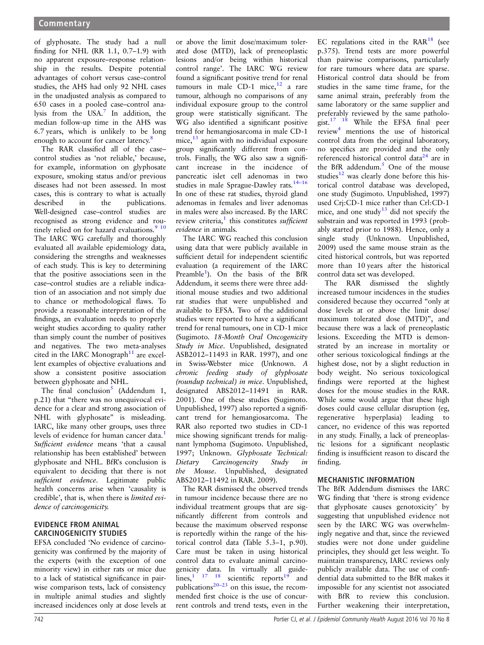of glyphosate. The study had a null finding for NHL (RR 1.1, 0.7–1.9) with no apparent exposure–response relationship in the results. Despite potential advantages of cohort versus case–control studies, the AHS had only 92 NHL cases in the unadjusted analysis as compared to 650 cases in a pooled case–control analysis from the USA. $^7$  In addition, the median follow-up time in the AHS was 6.7 years, which is unlikely to be long enough to account for cancer latency.<sup>[8](#page-4-0)</sup>

The RAR classified all of the case– control studies as 'not reliable,' because, for example, information on glyphosate exposure, smoking status and/or previous diseases had not been assessed. In most cases, this is contrary to what is actually described in the publications. Well-designed case–control studies are recognised as strong evidence and routinely relied on for hazard evaluations.<sup>9</sup> <sup>10</sup> The IARC WG carefully and thoroughly evaluated all available epidemiology data, considering the strengths and weaknesses of each study. This is key to determining that the positive associations seen in the case–control studies are a reliable indication of an association and not simply due to chance or methodological flaws. To provide a reasonable interpretation of the findings, an evaluation needs to properly weight studies according to quality rather than simply count the number of positives and negatives. The two meta-analyses cited in the IARC Monograph<sup>[11](#page-4-0)</sup> are excellent examples of objective evaluations and show a consistent positive association between glyphosate and NHL.

The final conclusion<sup>[5](#page-4-0)</sup> (Addendum 1, p.21) that "there was no unequivocal evidence for a clear and strong association of NHL with glyphosate" is misleading. IARC, like many other groups, uses three levels of evidence for human cancer data.<sup>[1](#page-4-0)</sup> Sufficient evidence means 'that a causal relationship has been established' between glyphosate and NHL. BfR's conclusion is equivalent to deciding that there is not sufficient evidence. Legitimate public health concerns arise when 'causality is credible', that is, when there is limited evidence of carcinogenicity.

### EVIDENCE FROM ANIMAL CARCINOGENICITY STUDIES

EFSA concluded 'No evidence of carcinogenicity was confirmed by the majority of the experts (with the exception of one minority view) in either rats or mice due to a lack of statistical significance in pairwise comparison tests, lack of consistency in multiple animal studies and slightly increased incidences only at dose levels at

or above the limit dose/maximum tolerated dose (MTD), lack of preneoplastic lesions and/or being within historical control range'. The IARC WG review found a significant positive trend for renal tumours in male  $CD-1$  mice,<sup>[12](#page-4-0)</sup> a rare tumour, although no comparisons of any individual exposure group to the control group were statistically significant. The WG also identified a significant positive trend for hemangiosarcoma in male CD-1 mice, $^{13}$  $^{13}$  $^{13}$  again with no individual exposure group significantly different from controls. Finally, the WG also saw a significant increase in the incidence of pancreatic islet cell adenomas in two studies in male Sprague-Dawley rats.14–[16](#page-4-0) In one of these rat studies, thyroid gland adenomas in females and liver adenomas in males were also increased. By the IARC review criteria, $<sup>1</sup>$  $<sup>1</sup>$  $<sup>1</sup>$  this constitutes *sufficient*</sup> evidence in animals.

The IARC WG reached this conclusion using data that were publicly available in sufficient detail for independent scientific evaluation (a requirement of the IARC Preamble<sup>[1](#page-4-0)</sup>). On the basis of the BfR Addendum, it seems there were three additional mouse studies and two additional rat studies that were unpublished and available to EFSA. Two of the additional studies were reported to have a significant trend for renal tumours, one in CD-1 mice (Sugimoto. 18-Month Oral Oncogenicity Study in Mice. Unpublished, designated ASB2012–11493 in RAR. 1997), and one in Swiss-Webster mice (Unknown. A chronic feeding study of glyphosate (roundup technical) in mice. Unpublished, designated ABS2012–11491 in RAR. 2001). One of these studies (Sugimoto. Unpublished, 1997) also reported a significant trend for hemangiosarcoma. The RAR also reported two studies in CD-1 mice showing significant trends for malignant lymphoma (Sugimoto. Unpublished, 1997; Unknown. Glyphosate Technical: Dietary Carcinogencity Study in the Mouse. Unpublished, designated ABS2012–11492 in RAR. 2009).

The RAR dismissed the observed trends in tumour incidence because there are no individual treatment groups that are significantly different from controls and because the maximum observed response is reportedly within the range of the historical control data (Table 5.3–1, p.90). Care must be taken in using historical control data to evaluate animal carcinogenicity data. In virtually all guide- $\lim_{n \to \infty}$ ,  $\lim_{n \to \infty}$  18 scientific reports<sup>[19](#page-4-0)</sup> and publications $20-23$  on this issue, the recommended first choice is the use of concurrent controls and trend tests, even in the

EC regulations cited in the  $RAR<sup>18</sup>$  $RAR<sup>18</sup>$  $RAR<sup>18</sup>$  (see p.375). Trend tests are more powerful than pairwise comparisons, particularly for rare tumours where data are sparse. Historical control data should be from studies in the same time frame, for the same animal strain, preferably from the same laboratory or the same supplier and preferably reviewed by the same patholo- $\frac{17}{2}$   $\frac{18}{18}$  While the EFSA final peer review[4](#page-4-0) mentions the use of historical control data from the original laboratory, no specifics are provided and the only referenced historical control data<sup>[24](#page-4-0)</sup> are in the BfR addendum.<sup>[5](#page-4-0)</sup> One of the mouse studies $^{12}$  $^{12}$  $^{12}$  was clearly done before this historical control database was developed, one study (Sugimoto. Unpublished, 1997) used Crj:CD-1 mice rather than Crl:CD-1 mice, and one study<sup>[13](#page-4-0)</sup> did not specify the substrain and was reported in 1993 (probably started prior to 1988). Hence, only a single study (Unknown. Unpublished, 2009) used the same mouse strain as the cited historical controls, but was reported more than 10 years after the historical control data set was developed.

The RAR dismissed the slightly increased tumour incidences in the studies considered because they occurred "only at dose levels at or above the limit dose/ maximum tolerated dose (MTD)", and because there was a lack of preneoplastic lesions. Exceeding the MTD is demonstrated by an increase in mortality or other serious toxicological findings at the highest dose, not by a slight reduction in body weight. No serious toxicological findings were reported at the highest doses for the mouse studies in the RAR. While some would argue that these high doses could cause cellular disruption (eg, regenerative hyperplasia) leading to cancer, no evidence of this was reported in any study. Finally, a lack of preneoplastic lesions for a significant neoplastic finding is insufficient reason to discard the finding.

### MECHANISTIC INFORMATION

The BfR Addendum dismisses the IARC WG finding that 'there is strong evidence that glyphosate causes genotoxicity' by suggesting that unpublished evidence not seen by the IARC WG was overwhelmingly negative and that, since the reviewed studies were not done under guideline principles, they should get less weight. To maintain transparency, IARC reviews only publicly available data. The use of confidential data submitted to the BfR makes it impossible for any scientist not associated with BfR to review this conclusion. Further weakening their interpretation,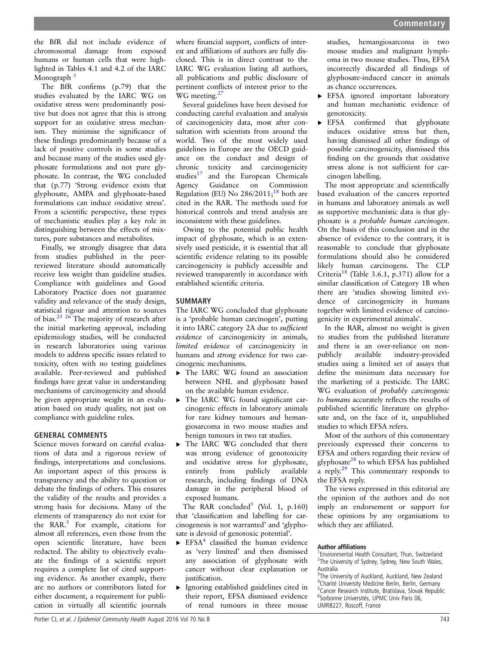the BfR did not include evidence of chromosomal damage from exposed humans or human cells that were highlighted in Tables 4.1 and 4.2 of the IARC Monograph <sup>[3](#page-4-0)</sup>

The BfR confirms (p.79) that the studies evaluated by the IARC WG on oxidative stress were predominantly positive but does not agree that this is strong support for an oxidative stress mechanism. They minimise the significance of these findings predominantly because of a lack of positive controls in some studies and because many of the studies used glyphosate formulations and not pure glyphosate. In contrast, the WG concluded that (p.77) 'Strong evidence exists that glyphosate, AMPA and glyphosate-based formulations can induce oxidative stress'. From a scientific perspective, these types of mechanistic studies play a key role in distinguishing between the effects of mixtures, pure substances and metabolites.

Finally, we strongly disagree that data from studies published in the peerreviewed literature should automatically receive less weight than guideline studies. Compliance with guidelines and Good Laboratory Practice does not guarantee validity and relevance of the study design, statistical rigour and attention to sources of bias.<sup>25</sup> <sup>26</sup> The majority of research after the initial marketing approval, including epidemiology studies, will be conducted in research laboratories using various models to address specific issues related to toxicity, often with no testing guidelines available. Peer-reviewed and published findings have great value in understanding mechanisms of carcinogenicity and should be given appropriate weight in an evaluation based on study quality, not just on compliance with guideline rules.

# GENERAL COMMENTS

Science moves forward on careful evaluations of data and a rigorous review of findings, interpretations and conclusions. An important aspect of this process is transparency and the ability to question or debate the findings of others. This ensures the validity of the results and provides a strong basis for decisions. Many of the elements of transparency do not exist for the RAR. $5$  For example, citations for almost all references, even those from the open scientific literature, have been redacted. The ability to objectively evaluate the findings of a scientific report requires a complete list of cited supporting evidence. As another example, there are no authors or contributors listed for either document, a requirement for publication in virtually all scientific journals

where financial support, conflicts of interest and affiliations of authors are fully disclosed. This is in direct contrast to the IARC WG evaluation listing all authors, all publications and public disclosure of pertinent conflicts of interest prior to the  $WG$  meeting.<sup>[27](#page-4-0)</sup>

Several guidelines have been devised for conducting careful evaluation and analysis of carcinogenicity data, most after consultation with scientists from around the world. Two of the most widely used guidelines in Europe are the OECD guidance on the conduct and design of chronic toxicity and carcinogenicity studies<sup>[17](#page-4-0)</sup> and the European Chemicals Agency Guidance on Commission Regulation (EU) No  $286/2011$ ;<sup>18</sup> both are cited in the RAR. The methods used for historical controls and trend analysis are inconsistent with these guidelines.

Owing to the potential public health impact of glyphosate, which is an extensively used pesticide, it is essential that all scientific evidence relating to its possible carcinogenicity is publicly accessible and reviewed transparently in accordance with established scientific criteria.

## **SUMMARY**

The IARC WG concluded that glyphosate is a 'probable human carcinogen', putting it into IARC category 2A due to sufficient evidence of carcinogenicity in animals, limited evidence of carcinogenicity in humans and strong evidence for two carcinogenic mechanisms.

- ▸ The IARC WG found an association between NHL and glyphosate based on the available human evidence.
- ▸ The IARC WG found significant carcinogenic effects in laboratory animals for rare kidney tumours and hemangiosarcoma in two mouse studies and benign tumours in two rat studies.
- ▸ The IARC WG concluded that there was strong evidence of genotoxicity and oxidative stress for glyphosate, entirely from publicly available research, including findings of DNA damage in the peripheral blood of exposed humans.

The RAR concluded<sup>5</sup> (Vol. 1, p.160) that 'classification and labelling for carcinogenesis is not warranted' and 'glyphosate is devoid of genotoxic potential'.

- $\triangleright$  EFSA<sup>[4](#page-4-0)</sup> classified the human evidence as 'very limited' and then dismissed any association of glyphosate with cancer without clear explanation or justification.
- ▸ Ignoring established guidelines cited in their report, EFSA dismissed evidence of renal tumours in three mouse

studies, hemangiosarcoma in two mouse studies and malignant lymphoma in two mouse studies. Thus, EFSA incorrectly discarded all findings of glyphosate-induced cancer in animals as chance occurrences.

- ▸ EFSA ignored important laboratory and human mechanistic evidence of genotoxicity.
- ▸ EFSA confirmed that glyphosate induces oxidative stress but then, having dismissed all other findings of possible carcinogenicity, dismissed this finding on the grounds that oxidative stress alone is not sufficient for carcinogen labelling.

The most appropriate and scientifically based evaluation of the cancers reported in humans and laboratory animals as well as supportive mechanistic data is that glyphosate is a probable human carcinogen. On the basis of this conclusion and in the absence of evidence to the contrary, it is reasonable to conclude that glyphosate formulations should also be considered likely human carcinogens. The CLP Criteria<sup>[18](#page-4-0)</sup> (Table 3.6.1, p.371) allow for a similar classification of Category 1B when there are 'studies showing limited evidence of carcinogenicity in humans together with limited evidence of carcinogenicity in experimental animals'.

In the RAR, almost no weight is given to studies from the published literature and there is an over-reliance on nonpublicly available industry-provided studies using a limited set of assays that define the minimum data necessary for the marketing of a pesticide. The IARC WG evaluation of *probably carcinogenic* to humans accurately reflects the results of published scientific literature on glyphosate and, on the face of it, unpublished studies to which EFSA refers.

Most of the authors of this commentary previously expressed their concerns to EFSA and others regarding their review of glyphosate<sup>[28](#page-4-0)</sup> to which EFSA has published  $\frac{1}{2}$  a reply.<sup>[29](#page-4-0)</sup> This commentary responds to the EFSA reply.

The views expressed in this editorial are the opinion of the authors and do not imply an endorsement or support for these opinions by any organisations to which they are affiliated.

#### Author affiliations <sup>1</sup>

Environmental Health Consultant, Thun, Switzerland <sup>2</sup>The University of Sydney, Sydney, New South Wales, Australia

<sup>3</sup>The University of Auckland, Auckland, New Zealand 4 Charité University Medicine Berlin, Berlin, Germany 5 Cancer Research Institute, Bratislava, Slovak Republic 6 Sorbonne Universités, UPMC Univ Paris 06, UMR8227, Roscoff, France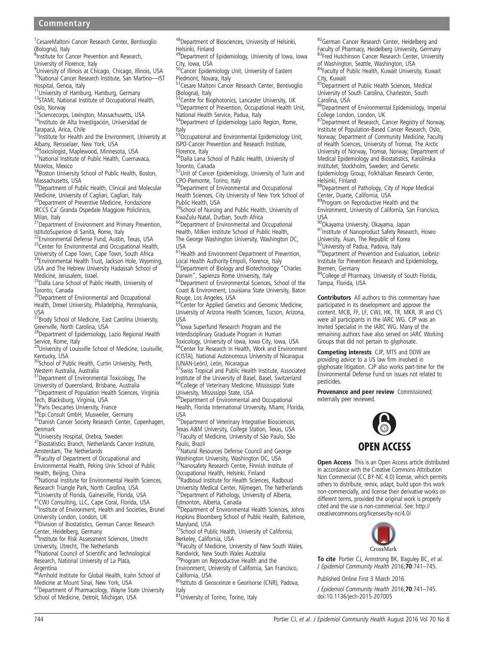7 CesareMaltoni Cancer Research Center, Bentivoglio (Bologna), Italy

<sup>8</sup>Institute for Cancer Prevention and Research,

University of Florence, Italy

<sup>9</sup>University of Illinois at Chicago, Chicago, Illinois, USA 10National Cancer Research Institute, San Martino—IST Hospital, Genoa, Italy<br><sup>11</sup>University of Hamburg, Hamburg, Germany

<sup>12</sup>STAMI, National Institute of Occupational Health, Oslo, Norway<br><sup>13</sup>Sciencecorps, Lexington, Massachusetts, USA

<sup>14</sup>Instituto de Alta Investigación, Universidad de Tarapacá, Arica, Chile

<sup>15</sup>Institute for Health and the Environment, University at Albany, Rensselaer, New York, USA<br><sup>16</sup>Toxicologist, Maplewood, Minnesota, USA

<sup>17</sup>National Institute of Public Health, Cuernavaca,

Morelos, Mexico

<sup>18</sup>Boston University School of Public Health, Boston, Massachusetts, USA

<sup>19</sup>Department of Public Health, Clinical and Molecular Medicine, University of Cagliari, Cagliari, Italy 20Department of Preventive Medicine, Fondazione IRCCS Ca' Granda Ospedale Maggiore Policlinico, Milan, Italy

<sup>21</sup>Department of Environment and Primary Prevention,

IstitutoSuperiore di Sanità, Rome, Italy<br><sup>22</sup>Environmental Defense Fund, Austin, Texas, USA <sup>23</sup>Center for Environmental and Occupational Health, University of Cape Town, Cape Town, South Africa <sup>24</sup>Environmental Health Trust, Jackson Hole, Wyoming,

USA and The Hebrew University Hadassah School of Medicine, Jerusalem, Israel. <sup>25</sup>Dalla Lana School of Public Health, University of

Toronto, Canada

<sup>26</sup>Department of Environmental and Occupational Health, Drexel University, Philadelphia, Pennsylvania, USA

<sup>27</sup>Brody School of Medicine, East Carolina University, Greenville, North Carolina, USA

28Department of Epidemiology, Lazio Regional Health Service, Rome, Italy

29University of Louisville School of Medicine, Louisville, Kentucky, USA

<sup>30</sup>School of Public Health, Curtin University, Perth, Western Australia, Australia

<sup>31</sup>Department of Environmental Toxicology, The

University of Queensland, Brisbane, Australia <sup>32</sup>Department of Population Health Sciences, Virginia

Tech, Blacksburg, Virginia, USA<br><sup>33</sup> Paris Descartes University, France

<sup>34</sup>Epi.Consult GmbH, Musweiler, Germany<br><sup>35</sup>Danish Cancer Society Research Center, Copenhagen,

Denmark<br><sup>36</sup>University Hospital, Orebra, Sweden

<sup>37</sup>Biostatistics Branch, Netherlands Cancer Institute,

Amsterdam, The Netherlands<br><sup>38</sup>Faculty of Department of Occupational and Environmental Health, Peking Univ School of Public

Health, Beijing, China

39National Institute for Environmental Health Sciences,

Research Triangle Park, North Carolina, USA<br><sup>40</sup>University of Florida, Gainesville, Florida, USA

<sup>41</sup>CWJ Consulting, LLC, Cape Coral, Florida, USA <sup>42</sup>Institute of Environment, Health and Societies, Brunel

University London, London, UK<br><sup>43</sup>Division of Biostatistics, German Cancer Research

Center, Heidelberg, Germany 44Institute for Risk Assessment Sciences, Utrecht University, Utrecht, The Netherlands

45National Council of Scientific and Technological Research, National University of La Plata,

Argentina<br><sup>46</sup>Arnhold Institute for Global Health, Icahn School of Medicine at Mount Sinai, New York, USA 47Department of Pharmacology, Wayne State University School of Medicine, Detroit, Michigan, USA

48Department of Biosciences, University of Helsinki, Helsinki, Finland

49Department of Epidemiology, University of Iowa, Iowa

City, Iowa, USA 50Cancer Epidemiology Unit, University of Eastern Piedmont, Novara, Italy

51 Cesare Maltoni Cancer Research Center, Bentivoglio

Ebologna), Italy<br><sup>52</sup>Centre for Biophotonics, Lancaster University, UK 53 Department of Prevention, Occupational Health Unit,

National Health Service, Padua, Italy 54Department of Epidemiology Lazio Region, Rome,

Italy

nca.,<br><sup>55</sup>Occupational and Environmental Epidemiology Unit, ISPO-Cancer Prevention and Research Institute,

Florence, Italy 56Dalla Lana School of Public Health, University of

Toronto, Canada

57Unit of Cancer Epidemiology, University of Turin and CPO-Piemonte, Torino, Italy

58Department of Environmental and Occupational Health Sciences, City University of New York School of Public Health, USA

59School of Nursing and Public Health, University of KwaZulu-Natal, Durban, South Africa

60Department of Environmental and Occupational Health, Milken Institute School of Public Health, The George Washington University, Washington DC, USA

61Health and Environment-Department of Prevention, Local Health Authority-Empoli, Florence, Italy

<sup>62</sup>Department of Biology and Biotechnology "Charles<br>Darwin", Sapienza Rome University, Italy

<sup>63</sup>Department of Environmental Sciences, School of the Coast & Environment, Louisiana State University, Baton Rouge, Los Angeles, USA

<sup>64</sup>Center for Applied Genetics and Genomic Medicine, University of Arizona Health Sciences, Tucson, Arizona, USA

65Iowa Superfund Research Program and the Interdisciplinary Graduate Program in Human Toxicology, University of Iowa, Iowa City, Iowa, USA 66Center for Research in Health, Work and Environment (CISTA), National Autonomous University of Nicaragua (UNAN-León), León, Nicaragua

<sup>67</sup>Swiss Tropical and Public Health Institute, Associated Institute of the University of Basel, Basel, Switzerland 68College of Veterinary Medicine, Mississippi State University, Mississippi State, USA

69Department of Environmental and Occupational Health, Florida International University, Miami, Florida, USA

70Department of Veterinary Integrative Biosciences, Texas A&M University, College Station, Texas, USA 71Faculty of Medicine, University of São Paulo, São Paulo, Brazil<br><sup>72</sup>Natural Resources Defense Council and George

Washington University, Washington DC, USA

73Nanosafety Research Centre, Finnish Institute of Occupational Health, Helsinki, Finland

74Radboud Institute for Health Sciences, Radboud University Medical Center, Nijmegen, The Netherlands 75Department of Pathology, University of Alberta,

Edmonton, Alberta, Canada<br><sup>76</sup>Department of Environmental Health Sciences, Johns Hopkins Bloomberg School of Public Health, Baltimore, Maryland, USA

77School of Public Health, University of California,

Berkeley, California, USA<br><sup>78</sup>Faculty of Medicine, University of New South Wales,

Randwick, New South Wales Australia 79Program on Reproductive Health and the Environment, University of California, San Francisco,

California, USA<br><sup>80</sup>Istituto di Geosceinze e Georisorse (CNR), Padova,

Italy<br><sup>81</sup>University of Torino, Torino, Italy

82German Cancer Research Center, Heidelberg and Faculty of Pharmacy, Heidelberg University, Germany 83Fred Hutchinson Cancer Research Center, University

of Washington, Seattle, Washington, USA 84Faculty of Public Health, Kuwait University, Kuwait City, Kuwait

85Department of Public Health Sciences, Medical University of South Carolina, Charleston, South

Carolina, USA<br><sup>86</sup>Department of Environmental Epidemiology, Imperial College London, London, UK

87Department of Research, Cancer Registry of Norway, Institute of Population-Based Cancer Research, Oslo, Norway; Department of Community Medicine, Faculty of Health Sciences, University of Tromsø, The Arctic University of Norway, Tromsø, Norway; Department of Medical Epidemiology and Biostatistics, Karolinska Institutet, Stockholm, Sweden; and Genetic Epidemiology Group, Folkhälsan Research Center,

Helsinki, Finland.

88Department of Pathology, City of Hope Medical Center, Duarte, California, USA 89Program on Reproductive Health and the

Environment, University of California, San Francisco, USA<br><sup>90</sup>Okayama University, Okayama, Japan

<sup>91</sup> Institute of Nanoproduct Safety Research, Hoseo University, Asan, The Republic of Korea<br><sup>92</sup>University of Padua, Padova, Italy

93 Department of Prevention and Evaluation, Leibniz-Institute for Prevention Research and Epidemiology, Bremen, Germany

94College of Pharmacy, University of South Florida, Tampa, Florida, USA

Contributors All authors to this commentary have participated in its development and approve the content. MCB, FF, LF, CWJ, HK, TR, MKR, IR and CS were all participants in the IARC WG. CJP was an Invited Specialist in the IARC WG. Many of the remaining authors have also served on IARC Working Groups that did not pertain to glyphosate.

Competing interests CJP, MTS and DDW are providing advice to a US law firm involved in glyphosate litigation. CJP also works part-time for the Environmental Defense Fund on issues not related to pesticides.

Provenance and peer review Commissioned; externally peer reviewed.



Open Access This is an Open Access article distributed in accordance with the Creative Commons Attribution Non Commercial (CC BY-NC 4.0) license, which permits others to distribute, remix, adapt, build upon this work non-commercially, and license their derivative works on different terms, provided the original work is properly cited and the use is non-commercial. See: [http://](http://creativecommons.org/licenses/by-nc/4.0/) [creativecommons.org/licenses/by-nc/4.0/](http://creativecommons.org/licenses/by-nc/4.0/)



To cite Portier CJ, Armstrong BK, Baguley BC, et al. J Epidemiol Community Health 2016;70:741-745.

Published Online First 3 March 2016

J Epidemiol Community Health 2016;70:741–745. doi:10.1136/jech-2015-207005